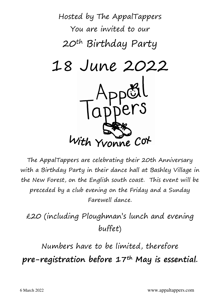

The AppalTappers are celebrating their 20th Anniversary with a Birthday Party in their dance hall at Bashley Village in the New Forest, on the English south coast. This event will be preceded by a club evening on the Friday and a Sunday Farewell dance.

£20 (including Ploughman's lunch and evening buffet)

Numbers have to be limited, therefore pre-registration before 17<sup>th</sup> May is essential.